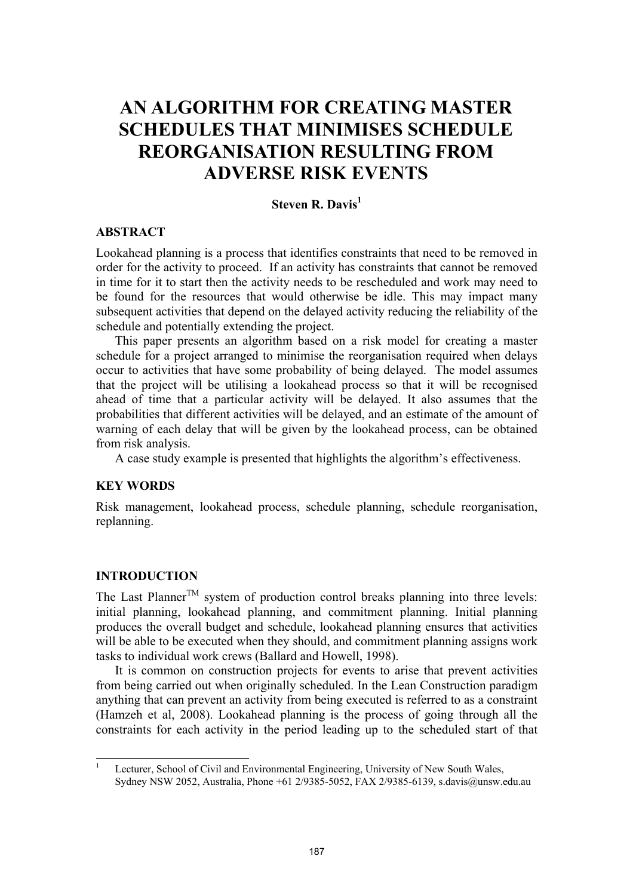# **AN ALGORITHM FOR CREATING MASTER SCHEDULES THAT MINIMISES SCHEDULE REORGANISATION RESULTING FROM ADVERSE RISK EVENTS**

## **Steven R. Davis**<sup>1</sup>

## **ABSTRACT**

Lookahead planning is a process that identifies constraints that need to be removed in order for the activity to proceed. If an activity has constraints that cannot be removed in time for it to start then the activity needs to be rescheduled and work may need to be found for the resources that would otherwise be idle. This may impact many subsequent activities that depend on the delayed activity reducing the reliability of the schedule and potentially extending the project.

This paper presents an algorithm based on a risk model for creating a master schedule for a project arranged to minimise the reorganisation required when delays occur to activities that have some probability of being delayed. The model assumes that the project will be utilising a lookahead process so that it will be recognised ahead of time that a particular activity will be delayed. It also assumes that the probabilities that different activities will be delayed, and an estimate of the amount of warning of each delay that will be given by the lookahead process, can be obtained from risk analysis.

A case study example is presented that highlights the algorithm's effectiveness.

## **KEY WORDS**

Risk management, lookahead process, schedule planning, schedule reorganisation, replanning.

## **INTRODUCTION**

The Last Planner<sup>TM</sup> system of production control breaks planning into three levels: initial planning, lookahead planning, and commitment planning. Initial planning produces the overall budget and schedule, lookahead planning ensures that activities will be able to be executed when they should, and commitment planning assigns work tasks to individual work crews (Ballard and Howell, 1998).

It is common on construction projects for events to arise that prevent activities from being carried out when originally scheduled. In the Lean Construction paradigm anything that can prevent an activity from being executed is referred to as a constraint (Hamzeh et al, 2008). Lookahead planning is the process of going through all the constraints for each activity in the period leading up to the scheduled start of that

 1 Lecturer, School of Civil and Environmental Engineering, University of New South Wales, Sydney NSW 2052, Australia, Phone +61 2/9385-5052, FAX 2/9385-6139, s.davis@unsw.edu.au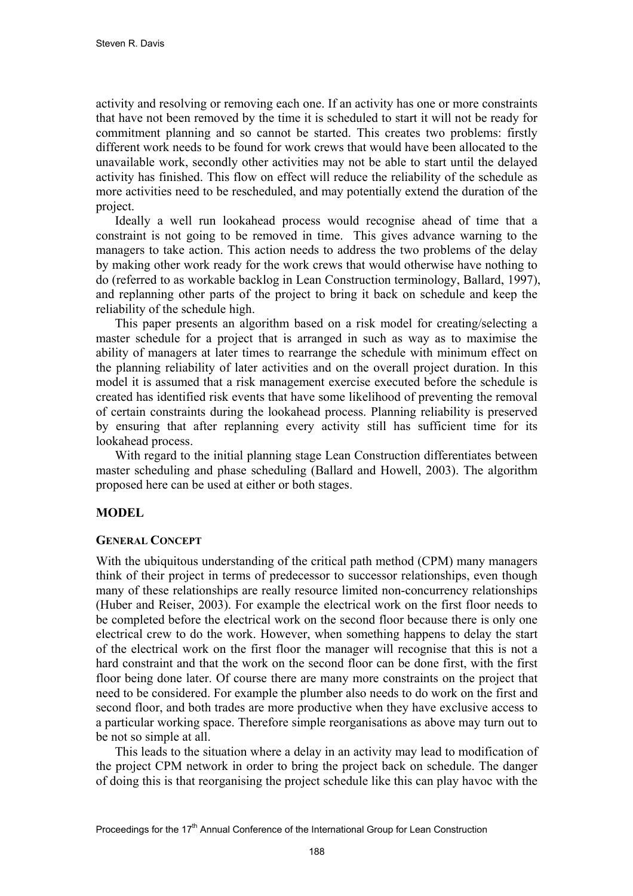activity and resolving or removing each one. If an activity has one or more constraints that have not been removed by the time it is scheduled to start it will not be ready for commitment planning and so cannot be started. This creates two problems: firstly different work needs to be found for work crews that would have been allocated to the unavailable work, secondly other activities may not be able to start until the delayed activity has finished. This flow on effect will reduce the reliability of the schedule as more activities need to be rescheduled, and may potentially extend the duration of the project.

Ideally a well run lookahead process would recognise ahead of time that a constraint is not going to be removed in time. This gives advance warning to the managers to take action. This action needs to address the two problems of the delay by making other work ready for the work crews that would otherwise have nothing to do (referred to as workable backlog in Lean Construction terminology, Ballard, 1997), and replanning other parts of the project to bring it back on schedule and keep the reliability of the schedule high.

This paper presents an algorithm based on a risk model for creating/selecting a master schedule for a project that is arranged in such as way as to maximise the ability of managers at later times to rearrange the schedule with minimum effect on the planning reliability of later activities and on the overall project duration. In this model it is assumed that a risk management exercise executed before the schedule is created has identified risk events that have some likelihood of preventing the removal of certain constraints during the lookahead process. Planning reliability is preserved by ensuring that after replanning every activity still has sufficient time for its lookahead process.

With regard to the initial planning stage Lean Construction differentiates between master scheduling and phase scheduling (Ballard and Howell, 2003). The algorithm proposed here can be used at either or both stages.

## **MODEL**

#### **GENERAL CONCEPT**

With the ubiquitous understanding of the critical path method (CPM) many managers think of their project in terms of predecessor to successor relationships, even though many of these relationships are really resource limited non-concurrency relationships (Huber and Reiser, 2003). For example the electrical work on the first floor needs to be completed before the electrical work on the second floor because there is only one electrical crew to do the work. However, when something happens to delay the start of the electrical work on the first floor the manager will recognise that this is not a hard constraint and that the work on the second floor can be done first, with the first floor being done later. Of course there are many more constraints on the project that need to be considered. For example the plumber also needs to do work on the first and second floor, and both trades are more productive when they have exclusive access to a particular working space. Therefore simple reorganisations as above may turn out to be not so simple at all.

This leads to the situation where a delay in an activity may lead to modification of the project CPM network in order to bring the project back on schedule. The danger of doing this is that reorganising the project schedule like this can play havoc with the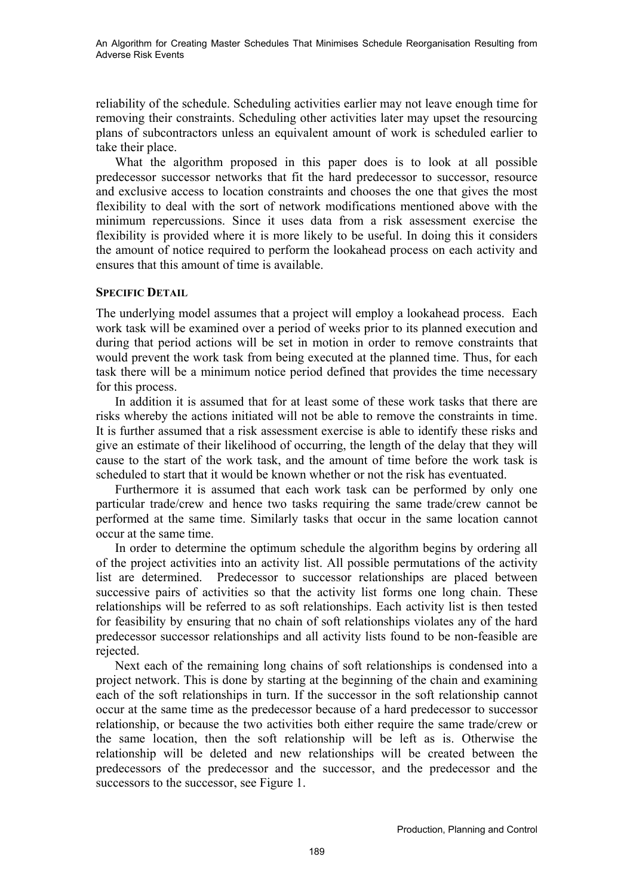An Algorithm for Creating Master Schedules That Minimises Schedule Reorganisation Resulting from Adverse Risk Events

reliability of the schedule. Scheduling activities earlier may not leave enough time for removing their constraints. Scheduling other activities later may upset the resourcing plans of subcontractors unless an equivalent amount of work is scheduled earlier to take their place.

What the algorithm proposed in this paper does is to look at all possible predecessor successor networks that fit the hard predecessor to successor, resource and exclusive access to location constraints and chooses the one that gives the most flexibility to deal with the sort of network modifications mentioned above with the minimum repercussions. Since it uses data from a risk assessment exercise the flexibility is provided where it is more likely to be useful. In doing this it considers the amount of notice required to perform the lookahead process on each activity and ensures that this amount of time is available.

#### **SPECIFIC DETAIL**

The underlying model assumes that a project will employ a lookahead process. Each work task will be examined over a period of weeks prior to its planned execution and during that period actions will be set in motion in order to remove constraints that would prevent the work task from being executed at the planned time. Thus, for each task there will be a minimum notice period defined that provides the time necessary for this process.

In addition it is assumed that for at least some of these work tasks that there are risks whereby the actions initiated will not be able to remove the constraints in time. It is further assumed that a risk assessment exercise is able to identify these risks and give an estimate of their likelihood of occurring, the length of the delay that they will cause to the start of the work task, and the amount of time before the work task is scheduled to start that it would be known whether or not the risk has eventuated.

Furthermore it is assumed that each work task can be performed by only one particular trade/crew and hence two tasks requiring the same trade/crew cannot be performed at the same time. Similarly tasks that occur in the same location cannot occur at the same time.

In order to determine the optimum schedule the algorithm begins by ordering all of the project activities into an activity list. All possible permutations of the activity list are determined. Predecessor to successor relationships are placed between successive pairs of activities so that the activity list forms one long chain. These relationships will be referred to as soft relationships. Each activity list is then tested for feasibility by ensuring that no chain of soft relationships violates any of the hard predecessor successor relationships and all activity lists found to be non-feasible are rejected.

Next each of the remaining long chains of soft relationships is condensed into a project network. This is done by starting at the beginning of the chain and examining each of the soft relationships in turn. If the successor in the soft relationship cannot occur at the same time as the predecessor because of a hard predecessor to successor relationship, or because the two activities both either require the same trade/crew or the same location, then the soft relationship will be left as is. Otherwise the relationship will be deleted and new relationships will be created between the predecessors of the predecessor and the successor, and the predecessor and the successors to the successor, see Figure 1.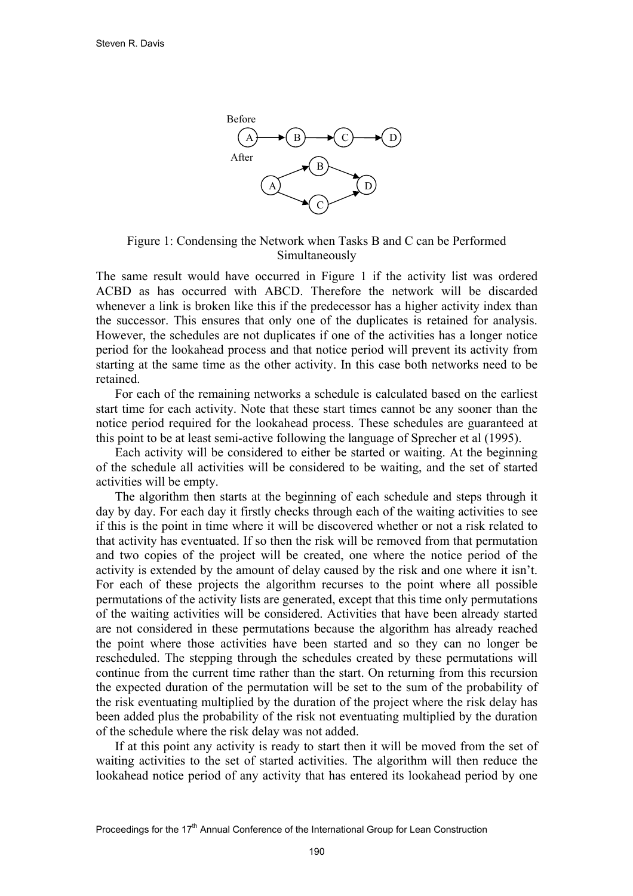

Figure 1: Condensing the Network when Tasks B and C can be Performed Simultaneously

The same result would have occurred in Figure 1 if the activity list was ordered ACBD as has occurred with ABCD. Therefore the network will be discarded whenever a link is broken like this if the predecessor has a higher activity index than the successor. This ensures that only one of the duplicates is retained for analysis. However, the schedules are not duplicates if one of the activities has a longer notice period for the lookahead process and that notice period will prevent its activity from starting at the same time as the other activity. In this case both networks need to be retained.

For each of the remaining networks a schedule is calculated based on the earliest start time for each activity. Note that these start times cannot be any sooner than the notice period required for the lookahead process. These schedules are guaranteed at this point to be at least semi-active following the language of Sprecher et al (1995).

Each activity will be considered to either be started or waiting. At the beginning of the schedule all activities will be considered to be waiting, and the set of started activities will be empty.

The algorithm then starts at the beginning of each schedule and steps through it day by day. For each day it firstly checks through each of the waiting activities to see if this is the point in time where it will be discovered whether or not a risk related to that activity has eventuated. If so then the risk will be removed from that permutation and two copies of the project will be created, one where the notice period of the activity is extended by the amount of delay caused by the risk and one where it isn't. For each of these projects the algorithm recurses to the point where all possible permutations of the activity lists are generated, except that this time only permutations of the waiting activities will be considered. Activities that have been already started are not considered in these permutations because the algorithm has already reached the point where those activities have been started and so they can no longer be rescheduled. The stepping through the schedules created by these permutations will continue from the current time rather than the start. On returning from this recursion the expected duration of the permutation will be set to the sum of the probability of the risk eventuating multiplied by the duration of the project where the risk delay has been added plus the probability of the risk not eventuating multiplied by the duration of the schedule where the risk delay was not added.

If at this point any activity is ready to start then it will be moved from the set of waiting activities to the set of started activities. The algorithm will then reduce the lookahead notice period of any activity that has entered its lookahead period by one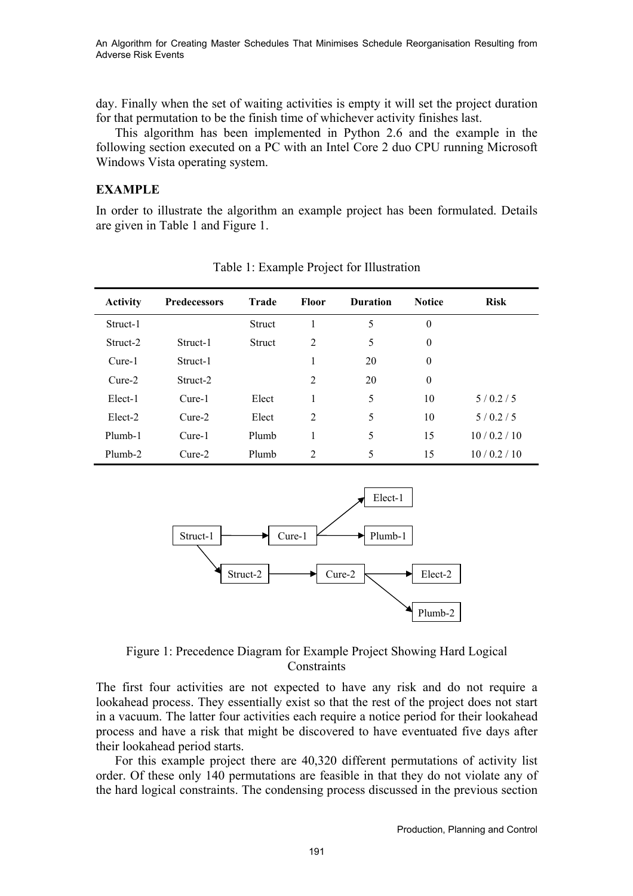An Algorithm for Creating Master Schedules That Minimises Schedule Reorganisation Resulting from Adverse Risk Events

day. Finally when the set of waiting activities is empty it will set the project duration for that permutation to be the finish time of whichever activity finishes last.

This algorithm has been implemented in Python 2.6 and the example in the following section executed on a PC with an Intel Core 2 duo CPU running Microsoft Windows Vista operating system.

#### **EXAMPLE**

In order to illustrate the algorithm an example project has been formulated. Details are given in Table 1 and Figure 1.

| <b>Activity</b> | Predecessors | <b>Trade</b> | <b>Floor</b>   | <b>Duration</b> | <b>Notice</b> | <b>Risk</b> |
|-----------------|--------------|--------------|----------------|-----------------|---------------|-------------|
| Struct-1        |              | Struct       | 1              | 5               | $\theta$      |             |
| Struct-2        | Struct-1     | Struct       | 2              | 5               | $\theta$      |             |
| Cure-1          | Struct-1     |              | 1              | 20              | $\theta$      |             |
| $Cure-2$        | Struct-2     |              | $\overline{2}$ | 20              | $\theta$      |             |
| Elect-1         | Cure-1       | Elect        |                | 5               | 10            | 5/0.2/5     |
| Elect-2         | $Cure-2$     | Elect        | 2              | 5               | 10            | 5/0.2/5     |
| Plumb-1         | Cure-1       | Plumb        | 1              | 5               | 15            | 10/0.2/10   |
| Plumb-2         | $Cure-2$     | Plumb        | $\overline{2}$ | 5               | 15            | 10/0.2/10   |

Table 1: Example Project for Illustration



Figure 1: Precedence Diagram for Example Project Showing Hard Logical **Constraints** 

The first four activities are not expected to have any risk and do not require a lookahead process. They essentially exist so that the rest of the project does not start in a vacuum. The latter four activities each require a notice period for their lookahead process and have a risk that might be discovered to have eventuated five days after their lookahead period starts.

For this example project there are 40,320 different permutations of activity list order. Of these only 140 permutations are feasible in that they do not violate any of the hard logical constraints. The condensing process discussed in the previous section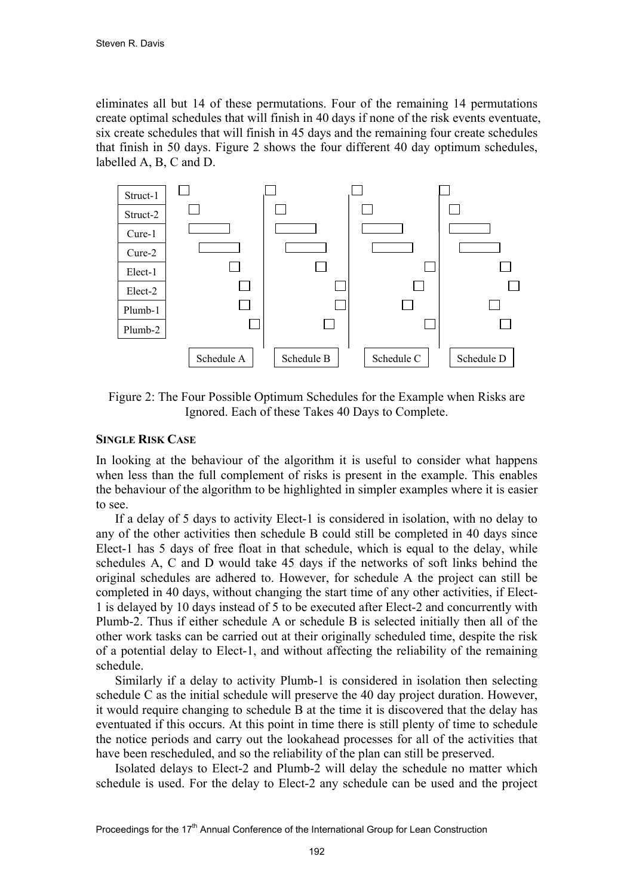eliminates all but 14 of these permutations. Four of the remaining 14 permutations create optimal schedules that will finish in 40 days if none of the risk events eventuate, six create schedules that will finish in 45 days and the remaining four create schedules that finish in 50 days. Figure 2 shows the four different 40 day optimum schedules, labelled A, B, C and D.



Figure 2: The Four Possible Optimum Schedules for the Example when Risks are Ignored. Each of these Takes 40 Days to Complete.

## **SINGLE RISK CASE**

In looking at the behaviour of the algorithm it is useful to consider what happens when less than the full complement of risks is present in the example. This enables the behaviour of the algorithm to be highlighted in simpler examples where it is easier to see.

If a delay of 5 days to activity Elect-1 is considered in isolation, with no delay to any of the other activities then schedule B could still be completed in 40 days since Elect-1 has 5 days of free float in that schedule, which is equal to the delay, while schedules A, C and D would take 45 days if the networks of soft links behind the original schedules are adhered to. However, for schedule A the project can still be completed in 40 days, without changing the start time of any other activities, if Elect-1 is delayed by 10 days instead of 5 to be executed after Elect-2 and concurrently with Plumb-2. Thus if either schedule A or schedule B is selected initially then all of the other work tasks can be carried out at their originally scheduled time, despite the risk of a potential delay to Elect-1, and without affecting the reliability of the remaining schedule.

Similarly if a delay to activity Plumb-1 is considered in isolation then selecting schedule C as the initial schedule will preserve the 40 day project duration. However, it would require changing to schedule B at the time it is discovered that the delay has eventuated if this occurs. At this point in time there is still plenty of time to schedule the notice periods and carry out the lookahead processes for all of the activities that have been rescheduled, and so the reliability of the plan can still be preserved.

Isolated delays to Elect-2 and Plumb-2 will delay the schedule no matter which schedule is used. For the delay to Elect-2 any schedule can be used and the project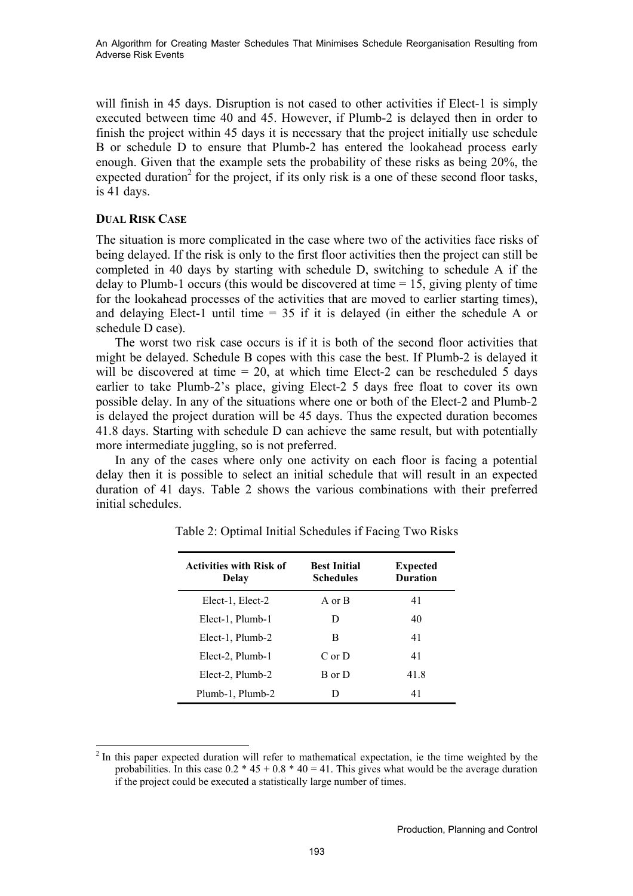will finish in 45 days. Disruption is not cased to other activities if Elect-1 is simply executed between time 40 and 45. However, if Plumb-2 is delayed then in order to finish the project within 45 days it is necessary that the project initially use schedule B or schedule D to ensure that Plumb-2 has entered the lookahead process early enough. Given that the example sets the probability of these risks as being 20%, the expected duration<sup>2</sup> for the project, if its only risk is a one of these second floor tasks, is 41 days.

## **DUAL RISK CASE**

The situation is more complicated in the case where two of the activities face risks of being delayed. If the risk is only to the first floor activities then the project can still be completed in 40 days by starting with schedule D, switching to schedule A if the delay to Plumb-1 occurs (this would be discovered at time = 15, giving plenty of time for the lookahead processes of the activities that are moved to earlier starting times), and delaying Elect-1 until time = 35 if it is delayed (in either the schedule A or schedule D case).

The worst two risk case occurs is if it is both of the second floor activities that might be delayed. Schedule B copes with this case the best. If Plumb-2 is delayed it will be discovered at time  $= 20$ , at which time Elect-2 can be rescheduled 5 days earlier to take Plumb-2's place, giving Elect-2 5 days free float to cover its own possible delay. In any of the situations where one or both of the Elect-2 and Plumb-2 is delayed the project duration will be 45 days. Thus the expected duration becomes 41.8 days. Starting with schedule D can achieve the same result, but with potentially more intermediate juggling, so is not preferred.

In any of the cases where only one activity on each floor is facing a potential delay then it is possible to select an initial schedule that will result in an expected duration of 41 days. Table 2 shows the various combinations with their preferred initial schedules.

| <b>Activities with Risk of</b><br>Delay | <b>Best Initial</b><br><b>Schedules</b> | <b>Expected</b><br><b>Duration</b> |
|-----------------------------------------|-----------------------------------------|------------------------------------|
| Elect-1, Elect-2                        | A or B                                  | 41                                 |
| Elect-1, Plumb-1                        | D                                       | 40                                 |
| Elect-1, Plumb-2                        | В                                       | 41                                 |
| Elect-2, Plumb-1                        | $C$ or $D$                              | 41                                 |
| Elect-2, Plumb-2                        | B or D                                  | 41.8                               |
| Plumb-1, Plumb-2                        | Ð                                       | 41                                 |

Table 2: Optimal Initial Schedules if Facing Two Risks

l  $2<sup>2</sup>$  In this paper expected duration will refer to mathematical expectation, ie the time weighted by the probabilities. In this case  $0.2 \times 45 + 0.8 \times 40 = 41$ . This gives what would be the average duration if the project could be executed a statistically large number of times.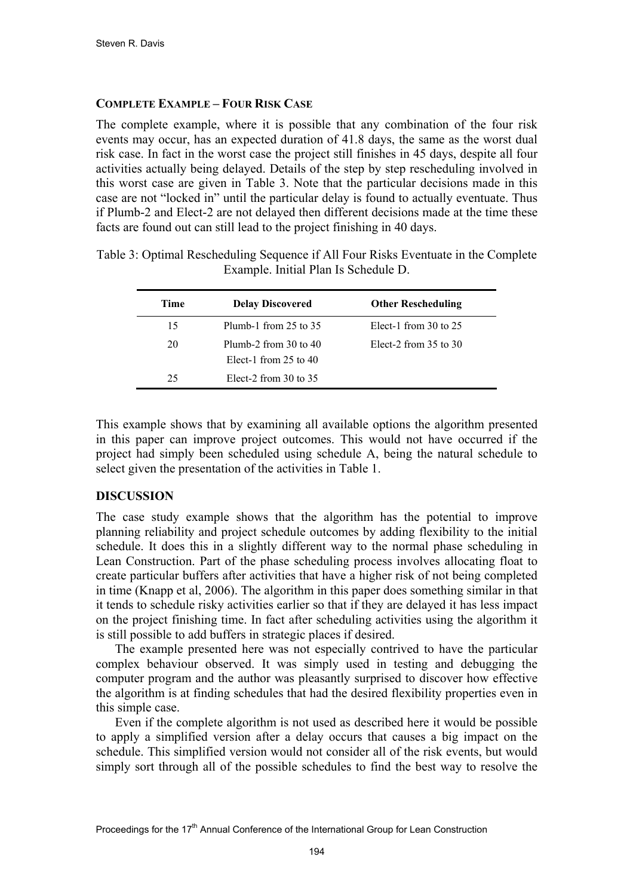## **COMPLETE EXAMPLE – FOUR RISK CASE**

The complete example, where it is possible that any combination of the four risk events may occur, has an expected duration of 41.8 days, the same as the worst dual risk case. In fact in the worst case the project still finishes in 45 days, despite all four activities actually being delayed. Details of the step by step rescheduling involved in this worst case are given in Table 3. Note that the particular decisions made in this case are not "locked in" until the particular delay is found to actually eventuate. Thus if Plumb-2 and Elect-2 are not delayed then different decisions made at the time these facts are found out can still lead to the project finishing in 40 days.

| Time | <b>Delay Discovered</b>                                | <b>Other Rescheduling</b> |
|------|--------------------------------------------------------|---------------------------|
| 15   | Plumb-1 from $25$ to $35$                              | Elect-1 from $30$ to $25$ |
| 20   | Plumb-2 from $30$ to $40$<br>Elect-1 from $25$ to $40$ | Elect-2 from $35$ to $30$ |
| 25   | Elect-2 from $30$ to $35$                              |                           |

Table 3: Optimal Rescheduling Sequence if All Four Risks Eventuate in the Complete Example. Initial Plan Is Schedule D.

This example shows that by examining all available options the algorithm presented in this paper can improve project outcomes. This would not have occurred if the project had simply been scheduled using schedule A, being the natural schedule to select given the presentation of the activities in Table 1.

## **DISCUSSION**

The case study example shows that the algorithm has the potential to improve planning reliability and project schedule outcomes by adding flexibility to the initial schedule. It does this in a slightly different way to the normal phase scheduling in Lean Construction. Part of the phase scheduling process involves allocating float to create particular buffers after activities that have a higher risk of not being completed in time (Knapp et al, 2006). The algorithm in this paper does something similar in that it tends to schedule risky activities earlier so that if they are delayed it has less impact on the project finishing time. In fact after scheduling activities using the algorithm it is still possible to add buffers in strategic places if desired.

The example presented here was not especially contrived to have the particular complex behaviour observed. It was simply used in testing and debugging the computer program and the author was pleasantly surprised to discover how effective the algorithm is at finding schedules that had the desired flexibility properties even in this simple case.

Even if the complete algorithm is not used as described here it would be possible to apply a simplified version after a delay occurs that causes a big impact on the schedule. This simplified version would not consider all of the risk events, but would simply sort through all of the possible schedules to find the best way to resolve the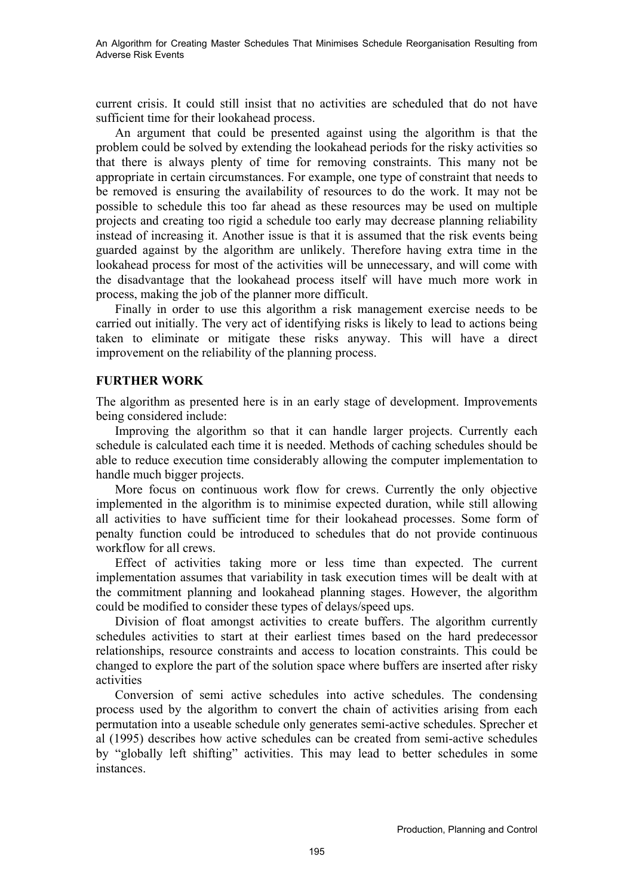current crisis. It could still insist that no activities are scheduled that do not have sufficient time for their lookahead process.

An argument that could be presented against using the algorithm is that the problem could be solved by extending the lookahead periods for the risky activities so that there is always plenty of time for removing constraints. This many not be appropriate in certain circumstances. For example, one type of constraint that needs to be removed is ensuring the availability of resources to do the work. It may not be possible to schedule this too far ahead as these resources may be used on multiple projects and creating too rigid a schedule too early may decrease planning reliability instead of increasing it. Another issue is that it is assumed that the risk events being guarded against by the algorithm are unlikely. Therefore having extra time in the lookahead process for most of the activities will be unnecessary, and will come with the disadvantage that the lookahead process itself will have much more work in process, making the job of the planner more difficult.

Finally in order to use this algorithm a risk management exercise needs to be carried out initially. The very act of identifying risks is likely to lead to actions being taken to eliminate or mitigate these risks anyway. This will have a direct improvement on the reliability of the planning process.

## **FURTHER WORK**

The algorithm as presented here is in an early stage of development. Improvements being considered include:

Improving the algorithm so that it can handle larger projects. Currently each schedule is calculated each time it is needed. Methods of caching schedules should be able to reduce execution time considerably allowing the computer implementation to handle much bigger projects.

More focus on continuous work flow for crews. Currently the only objective implemented in the algorithm is to minimise expected duration, while still allowing all activities to have sufficient time for their lookahead processes. Some form of penalty function could be introduced to schedules that do not provide continuous workflow for all crews.

Effect of activities taking more or less time than expected. The current implementation assumes that variability in task execution times will be dealt with at the commitment planning and lookahead planning stages. However, the algorithm could be modified to consider these types of delays/speed ups.

Division of float amongst activities to create buffers. The algorithm currently schedules activities to start at their earliest times based on the hard predecessor relationships, resource constraints and access to location constraints. This could be changed to explore the part of the solution space where buffers are inserted after risky activities

Conversion of semi active schedules into active schedules. The condensing process used by the algorithm to convert the chain of activities arising from each permutation into a useable schedule only generates semi-active schedules. Sprecher et al (1995) describes how active schedules can be created from semi-active schedules by "globally left shifting" activities. This may lead to better schedules in some instances.